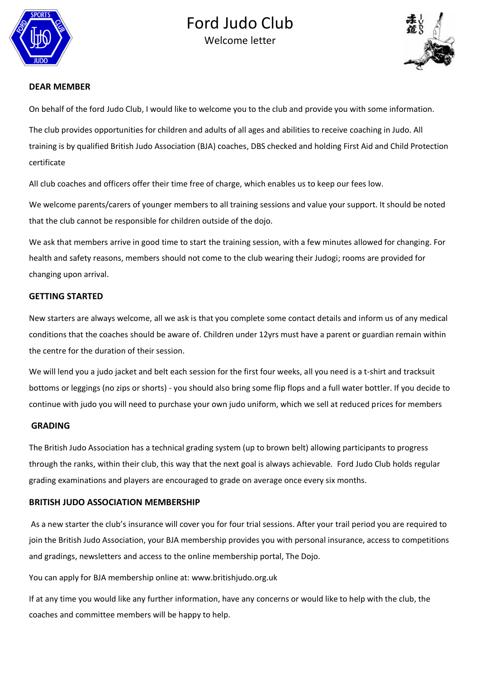

# Ford Judo Club





# **DEAR MEMBER**

On behalf of the ford Judo Club, I would like to welcome you to the club and provide you with some information.

The club provides opportunities for children and adults of all ages and abilities to receive coaching in Judo. All training is by qualified British Judo Association (BJA) coaches, DBS checked and holding First Aid and Child Protection certificate

All club coaches and officers offer their time free of charge, which enables us to keep our fees low.

We welcome parents/carers of younger members to all training sessions and value your support. It should be noted that the club cannot be responsible for children outside of the dojo.

We ask that members arrive in good time to start the training session, with a few minutes allowed for changing. For health and safety reasons, members should not come to the club wearing their Judogi; rooms are provided for changing upon arrival.

# **GETTING STARTED**

New starters are always welcome, all we ask is that you complete some contact details and inform us of any medical conditions that the coaches should be aware of. Children under 12yrs must have a parent or guardian remain within the centre for the duration of their session.

We will lend you a judo jacket and belt each session for the first four weeks, all you need is a t-shirt and tracksuit bottoms or leggings (no zips or shorts) - you should also bring some flip flops and a full water bottler. If you decide to continue with judo you will need to purchase your own judo uniform, which we sell at reduced prices for members

### **GRADING**

The British Judo Association has a technical grading system (up to brown belt) allowing participants to progress through the ranks, within their club, this way that the next goal is always achievable. Ford Judo Club holds regular grading examinations and players are encouraged to grade on average once every six months.

# **BRITISH JUDO ASSOCIATION MEMBERSHIP**

As a new starter the club's insurance will cover you for four trial sessions. After your trail period you are required to join the British Judo Association, your BJA membership provides you with personal insurance, access to competitions and gradings, newsletters and access to the online membership portal, The Dojo.

You can apply for BJA membership online at: www.britishjudo.org.uk

If at any time you would like any further information, have any concerns or would like to help with the club, the coaches and committee members will be happy to help.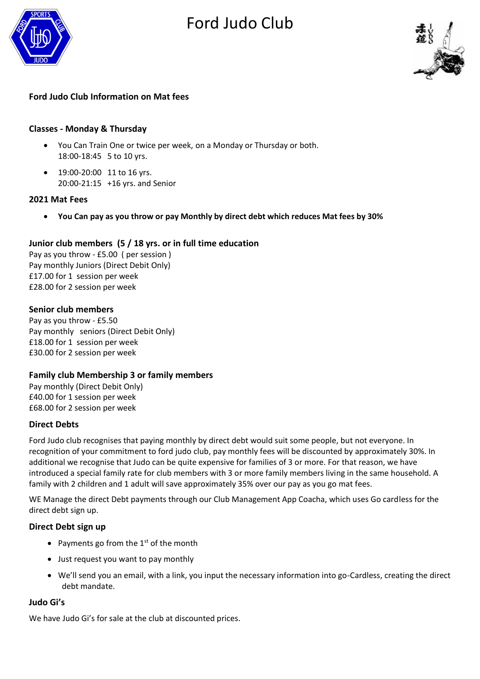# Ford Judo Club





# **Ford Judo Club Information on Mat fees**

# **Classes - Monday & Thursday**

- You Can Train One or twice per week, on a Monday or Thursday or both. 18:00-18:45 5 to 10 yrs.
- 19:00-20:00 11 to 16 yrs. 20:00-21:15 +16 yrs. and Senior

# **2021 Mat Fees**

• **You Can pay as you throw or pay Monthly by direct debt which reduces Mat fees by 30%** 

# **Junior club members (5 / 18 yrs. or in full time education**

Pay as you throw - £5.00 ( per session ) Pay monthly Juniors (Direct Debit Only) £17.00 for 1 session per week £28.00 for 2 session per week

# **Senior club members**

Pay as you throw - £5.50 Pay monthly seniors (Direct Debit Only) £18.00 for 1 session per week £30.00 for 2 session per week

# **Family club Membership 3 or family members**

Pay monthly (Direct Debit Only) £40.00 for 1 session per week £68.00 for 2 session per week

# **Direct Debts**

Ford Judo club recognises that paying monthly by direct debt would suit some people, but not everyone. In recognition of your commitment to ford judo club, pay monthly fees will be discounted by approximately 30%. In additional we recognise that Judo can be quite expensive for families of 3 or more. For that reason, we have introduced a special family rate for club members with 3 or more family members living in the same household. A family with 2 children and 1 adult will save approximately 35% over our pay as you go mat fees.

WE Manage the direct Debt payments through our Club Management App Coacha, which uses Go cardless for the direct debt sign up.

# **Direct Debt sign up**

- Payments go from the  $1<sup>st</sup>$  of the month
- Just request you want to pay monthly
- We'll send you an email, with a link, you input the necessary information into go-Cardless, creating the direct debt mandate.

# **Judo Gi's**

We have Judo Gi's for sale at the club at discounted prices.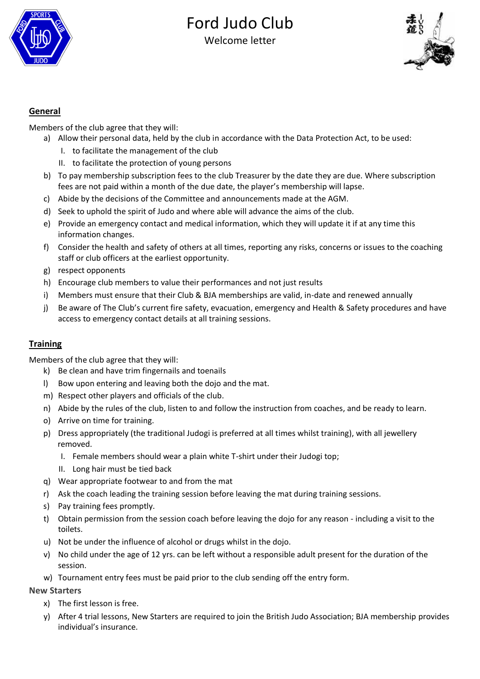

# Ford Judo Club Welcome letter



# **General**

Members of the club agree that they will:

- a) Allow their personal data, held by the club in accordance with the Data Protection Act, to be used:
	- I. to facilitate the management of the club
	- II. to facilitate the protection of young persons
- b) To pay membership subscription fees to the club Treasurer by the date they are due. Where subscription fees are not paid within a month of the due date, the player's membership will lapse.
- c) Abide by the decisions of the Committee and announcements made at the AGM.
- d) Seek to uphold the spirit of Judo and where able will advance the aims of the club.
- e) Provide an emergency contact and medical information, which they will update it if at any time this information changes.
- f) Consider the health and safety of others at all times, reporting any risks, concerns or issues to the coaching staff or club officers at the earliest opportunity.
- g) respect opponents
- h) Encourage club members to value their performances and not just results
- i) Members must ensure that their Club & BJA memberships are valid, in-date and renewed annually
- j) Be aware of The Club's current fire safety, evacuation, emergency and Health & Safety procedures and have access to emergency contact details at all training sessions.

# **Training**

Members of the club agree that they will:

- k) Be clean and have trim fingernails and toenails
- l) Bow upon entering and leaving both the dojo and the mat.
- m) Respect other players and officials of the club.
- n) Abide by the rules of the club, listen to and follow the instruction from coaches, and be ready to learn.
- o) Arrive on time for training.
- p) Dress appropriately (the traditional Judogi is preferred at all times whilst training), with all jewellery removed.
	- I. Female members should wear a plain white T-shirt under their Judogi top;
	- II. Long hair must be tied back
- q) Wear appropriate footwear to and from the mat
- r) Ask the coach leading the training session before leaving the mat during training sessions.
- s) Pay training fees promptly.
- t) Obtain permission from the session coach before leaving the dojo for any reason including a visit to the toilets.
- u) Not be under the influence of alcohol or drugs whilst in the dojo.
- v) No child under the age of 12 yrs. can be left without a responsible adult present for the duration of the session.
- w) Tournament entry fees must be paid prior to the club sending off the entry form.

# **New Starters**

- x) The first lesson is free.
- y) After 4 trial lessons, New Starters are required to join the British Judo Association; BJA membership provides individual's insurance.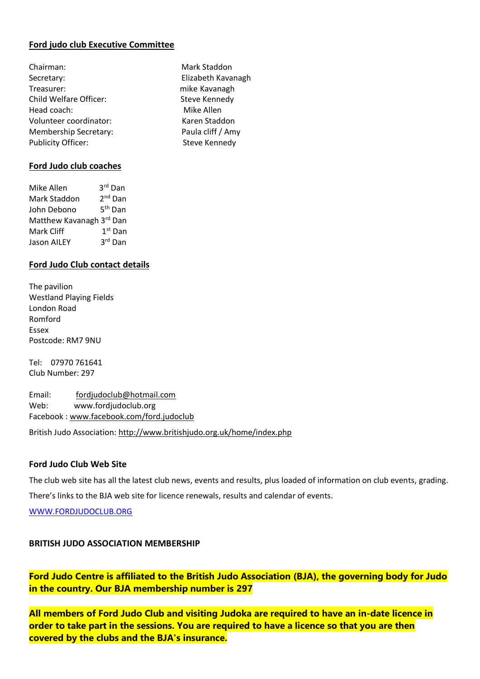# **Ford judo club Executive Committee**

Mark Staddon Elizabeth Kavanagh mike Kavanagh Steve Kennedy Mike Allen Karen Staddon Paula cliff / Amy Steve Kennedy

| Chairman:                    |  |
|------------------------------|--|
| Secretary:                   |  |
| Treasurer:                   |  |
| Child Welfare Officer:       |  |
| Head coach:                  |  |
| Volunteer coordinator:       |  |
| <b>Membership Secretary:</b> |  |
| <b>Publicity Officer:</b>    |  |

# **Ford Judo club coaches**

| Mike Allen               | 3rd Dan             |
|--------------------------|---------------------|
| Mark Staddon             | 2 <sup>nd</sup> Dan |
| John Debono              | 5 <sup>th</sup> Dan |
| Matthew Kavanagh 3rd Dan |                     |
| Mark Cliff               | $1st$ Dan           |
| <b>Jason AILEY</b>       | 3rd Dan             |
|                          |                     |

# **Ford Judo Club contact details**

The pavilion Westland Playing Fields London Road Romford Essex Postcode: RM7 9NU

Tel: 07970 761641 Club Number: 297

Email: [fordjudoclub@hotmail.com](mailto:fordjudoclub@hotmail.com)  Web: www.fordjudoclub.org Facebook [: www.facebook.com/ford.judoclub](http://www.facebook.com/ford.judoclub) 

British Judo Association:<http://www.britishjudo.org.uk/home/index.php>

# **Ford Judo Club Web Site**

The club web site has all the latest club news, events and results, plus loaded of information on club events, grading. There's links to the BJA web site for licence renewals, results and calendar of events.

[WWW.FORDJUDOCLUB.ORG](http://www.fordjudoclub.org/)

# **BRITISH JUDO ASSOCIATION MEMBERSHIP**

**Ford Judo Centre is affiliated to the British Judo Association (BJA), the governing body for Judo in the country. Our BJA membership number is 297**

**All members of Ford Judo Club and visiting Judoka are required to have an in-date licence in order to take part in the sessions. You are required to have a licence so that you are then covered by the clubs and the BJA's insurance.**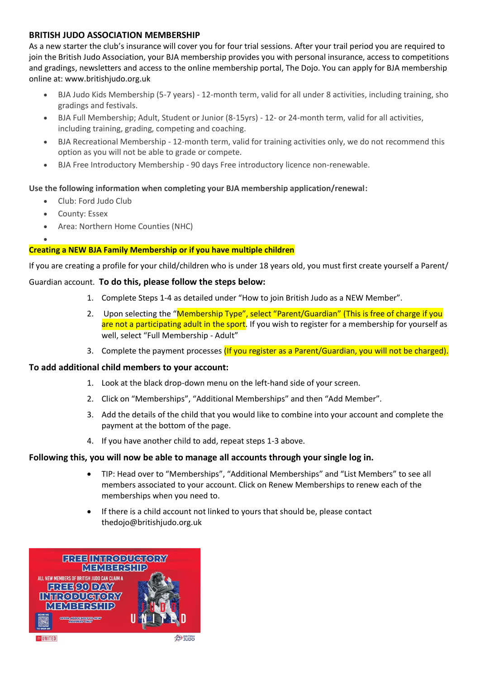# **BRITISH JUDO ASSOCIATION MEMBERSHIP**

As a new starter the club's insurance will cover you for four trial sessions. After your trail period you are required to join the British Judo Association, your BJA membership provides you with personal insurance, access to competitions and gradings, newsletters and access to the online membership portal, The Dojo. You can apply for BJA membership online at: www.britishjudo.org.uk

- BJA Judo Kids Membership (5-7 years) 12-month term, valid for all under 8 activities, including training, sho gradings and festivals.
- BJA Full Membership; Adult, Student or Junior (8-15yrs) 12- or 24-month term, valid for all activities, including training, grading, competing and coaching.
- BJA Recreational Membership 12-month term, valid for training activities only, we do not recommend this option as you will not be able to grade or compete.
- BJA Free Introductory Membership 90 days Free introductory licence non-renewable.

# **Use the following information when completing your BJA membership application/renewal:**

- Club: Ford Judo Club
- County: Essex

•

• Area: Northern Home Counties (NHC)

# **Creating a NEW BJA Family Membership or if you have multiple children**

If you are creating a profile for your child/children who is under 18 years old, you must first create yourself a Parent/

# Guardian account. **To do this, please follow the steps below:**

- 1. Complete Steps 1-4 as detailed under "How to join British Judo as a NEW Member".
- 2. Upon selecting the "Membership Type", select "Parent/Guardian" (This is free of charge if you are not a participating adult in the sport. If you wish to register for a membership for yourself as well, select "Full Membership - Adult"
- 3. Complete the payment processes (If you register as a Parent/Guardian, you will not be charged).

### **To add additional child members to your account:**

- 1. Look at the black drop-down menu on the left-hand side of your screen.
- 2. Click on "Memberships", "Additional Memberships" and then "Add Member".
- 3. Add the details of the child that you would like to combine into your account and complete the payment at the bottom of the page.
- 4. If you have another child to add, repeat steps 1-3 above.

# **Following this, you will now be able to manage all accounts through your single log in.**

- TIP: Head over to "Memberships", "Additional Memberships" and "List Members" to see all members associated to your account. Click on Renew Memberships to renew each of the memberships when you need to.
- If there is a child account not linked to yours that should be, please contact thedojo@britishjudo.org.uk